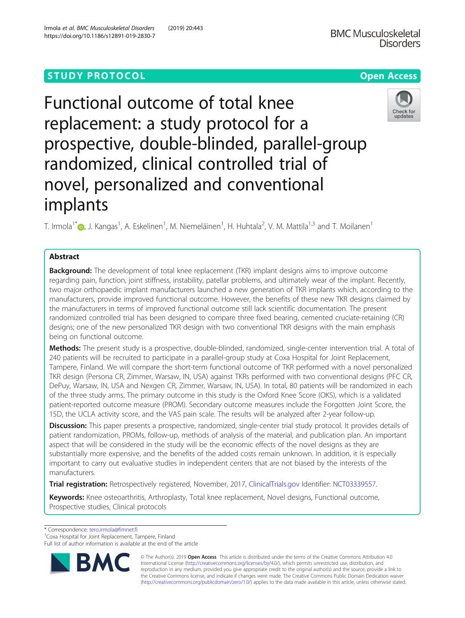# **STUDY PROTOCOL CONSUMING THE RESERVE ACCESS**

Functional outcome of total knee replacement: a study protocol for a prospective, double-blinded, parallel-group randomized, clinical controlled trial of novel, personalized and conventional implants

T. Irmola<sup>1[\\*](http://orcid.org/0000-0002-1785-5174)</sup>�, J. Kangas<sup>1</sup>, A. Eskelinen<sup>1</sup>, M. Niemeläinen<sup>1</sup>, H. Huhtala<sup>2</sup>, V. M. Mattila<sup>1,3</sup> and T. Moilanen<sup>1</sup>

# Abstract

**Background:** The development of total knee replacement (TKR) implant designs aims to improve outcome regarding pain, function, joint stiffness, instability, patellar problems, and ultimately wear of the implant. Recently, two major orthopaedic implant manufacturers launched a new generation of TKR implants which, according to the manufacturers, provide improved functional outcome. However, the benefits of these new TKR designs claimed by the manufacturers in terms of improved functional outcome still lack scientific documentation. The present randomized controlled trial has been designed to compare three fixed bearing, cemented cruciate-retaining (CR) designs; one of the new personalized TKR design with two conventional TKR designs with the main emphasis being on functional outcome.

Methods: The present study is a prospective, double-blinded, randomized, single-center intervention trial. A total of 240 patients will be recruited to participate in a parallel-group study at Coxa Hospital for Joint Replacement, Tampere, Finland. We will compare the short-term functional outcome of TKR performed with a novel personalized TKR design (Persona CR, Zimmer, Warsaw, IN, USA) against TKRs performed with two conventional designs (PFC CR, DePuy, Warsaw, IN, USA and Nexgen CR, Zimmer, Warsaw, IN, USA). In total, 80 patients will be randomized in each of the three study arms. The primary outcome in this study is the Oxford Knee Score (OKS), which is a validated patient-reported outcome measure (PROM). Secondary outcome measures include the Forgotten Joint Score, the 15D, the UCLA activity score, and the VAS pain scale. The results will be analyzed after 2-year follow-up.

Discussion: This paper presents a prospective, randomized, single-center trial study protocol. It provides details of patient randomization, PROMs, follow-up, methods of analysis of the material, and publication plan. An important aspect that will be considered in the study will be the economic effects of the novel designs as they are substantially more expensive, and the benefits of the added costs remain unknown. In addition, it is especially important to carry out evaluative studies in independent centers that are not biased by the interests of the manufacturers.

Trial registration: Retrospectively registered, November, 2017, [ClinicalTrials.gov](http://clinicaltrials.gov) Identifier: [NCT03339557](https://clinicaltrials.gov/ct2/show/NCT03339557?term=NCT03339557&rank=1).

Keywords: Knee osteoarthritis, Arthroplasty, Total knee replacement, Novel designs, Functional outcome, Prospective studies, Clinical protocols

\* Correspondence: [tero.irmola@fimnet.fi](mailto:tero.irmola@fimnet.fi) <sup>1</sup>

<sup>1</sup> Coxa Hospital for Joint Replacement, Tampere, Finland

Full list of author information is available at the end of the article

© The Author(s). 2019 **Open Access** This article is distributed under the terms of the Creative Commons Attribution 4.0 International License [\(http://creativecommons.org/licenses/by/4.0/](http://creativecommons.org/licenses/by/4.0/)), which permits unrestricted use, distribution, and reproduction in any medium, provided you give appropriate credit to the original author(s) and the source, provide a link to the Creative Commons license, and indicate if changes were made. The Creative Commons Public Domain Dedication waiver [\(http://creativecommons.org/publicdomain/zero/1.0/](http://creativecommons.org/publicdomain/zero/1.0/)) applies to the data made available in this article, unless otherwise stated.

R,



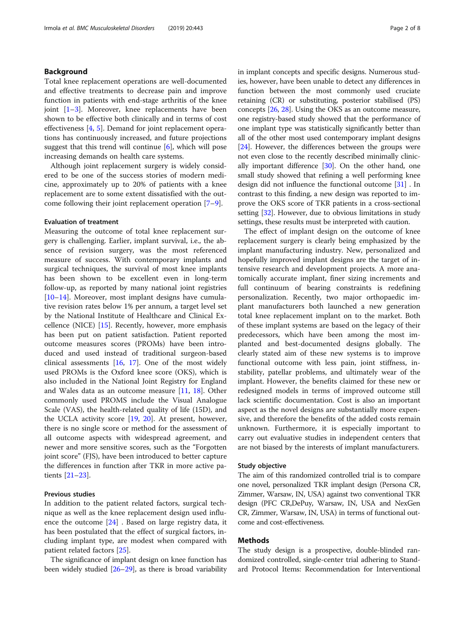# Background

Total knee replacement operations are well-documented and effective treatments to decrease pain and improve function in patients with end-stage arthritis of the knee joint [[1](#page-6-0)–[3\]](#page-6-0). Moreover, knee replacements have been shown to be effective both clinically and in terms of cost effectiveness [[4,](#page-6-0) [5\]](#page-6-0). Demand for joint replacement operations has continuously increased, and future projections suggest that this trend will continue  $[6]$  $[6]$ , which will pose increasing demands on health care systems.

Although joint replacement surgery is widely considered to be one of the success stories of modern medicine, approximately up to 20% of patients with a knee replacement are to some extent dissatisfied with the outcome following their joint replacement operation [\[7](#page-6-0)–[9](#page-6-0)].

### Evaluation of treatment

Measuring the outcome of total knee replacement surgery is challenging. Earlier, implant survival, i.e., the absence of revision surgery, was the most referenced measure of success. With contemporary implants and surgical techniques, the survival of most knee implants has been shown to be excellent even in long-term follow-up, as reported by many national joint registries [[10](#page-6-0)–[14](#page-6-0)]. Moreover, most implant designs have cumulative revision rates below 1% per annum, a target level set by the National Institute of Healthcare and Clinical Excellence (NICE) [[15\]](#page-7-0). Recently, however, more emphasis has been put on patient satisfaction. Patient reported outcome measures scores (PROMs) have been introduced and used instead of traditional surgeon-based clinical assessments [[16,](#page-7-0) [17\]](#page-7-0). One of the most widely used PROMs is the Oxford knee score (OKS), which is also included in the National Joint Registry for England and Wales data as an outcome measure [[11](#page-6-0), [18](#page-7-0)]. Other commonly used PROMS include the Visual Analogue Scale (VAS), the health-related quality of life (15D), and the UCLA activity score [\[19,](#page-7-0) [20](#page-7-0)]. At present, however, there is no single score or method for the assessment of all outcome aspects with widespread agreement, and newer and more sensitive scores, such as the "Forgotten joint score" (FJS), have been introduced to better capture the differences in function after TKR in more active patients [\[21](#page-7-0)–[23\]](#page-7-0).

# Previous studies

In addition to the patient related factors, surgical technique as well as the knee replacement design used influence the outcome [[24\]](#page-7-0) . Based on large registry data, it has been postulated that the effect of surgical factors, including implant type, are modest when compared with patient related factors [\[25](#page-7-0)].

The significance of implant design on knee function has been widely studied [[26](#page-7-0)–[29\]](#page-7-0), as there is broad variability in implant concepts and specific designs. Numerous studies, however, have been unable to detect any differences in function between the most commonly used cruciate retaining (CR) or substituting, posterior stabilised (PS) concepts [[26,](#page-7-0) [28](#page-7-0)]. Using the OKS as an outcome measure, one registry-based study showed that the performance of one implant type was statistically significantly better than all of the other most used contemporary implant designs [[24](#page-7-0)]. However, the differences between the groups were not even close to the recently described minimally clinically important difference [[30](#page-7-0)]. On the other hand, one small study showed that refining a well performing knee design did not influence the functional outcome [\[31\]](#page-7-0) . In contrast to this finding, a new design was reported to improve the OKS score of TKR patients in a cross-sectional setting [[32](#page-7-0)]. However, due to obvious limitations in study settings, these results must be interpreted with caution.

The effect of implant design on the outcome of knee replacement surgery is clearly being emphasized by the implant manufacturing industry. New, personalized and hopefully improved implant designs are the target of intensive research and development projects. A more anatomically accurate implant, finer sizing increments and full continuum of bearing constraints is redefining personalization. Recently, two major orthopaedic implant manufacturers both launched a new generation total knee replacement implant on to the market. Both of these implant systems are based on the legacy of their predecessors, which have been among the most implanted and best-documented designs globally. The clearly stated aim of these new systems is to improve functional outcome with less pain, joint stiffness, instability, patellar problems, and ultimately wear of the implant. However, the benefits claimed for these new or redesigned models in terms of improved outcome still lack scientific documentation. Cost is also an important aspect as the novel designs are substantially more expensive, and therefore the benefits of the added costs remain unknown. Furthermore, it is especially important to carry out evaluative studies in independent centers that are not biased by the interests of implant manufacturers.

### Study objective

The aim of this randomized controlled trial is to compare one novel, personalized TKR implant design (Persona CR, Zimmer, Warsaw, IN, USA) against two conventional TKR design (PFC CR,DePuy, Warsaw, IN, USA and NexGen CR, Zimmer, Warsaw, IN, USA) in terms of functional outcome and cost-effectiveness.

# Methods

The study design is a prospective, double-blinded randomized controlled, single-center trial adhering to Standard Protocol Items: Recommendation for Interventional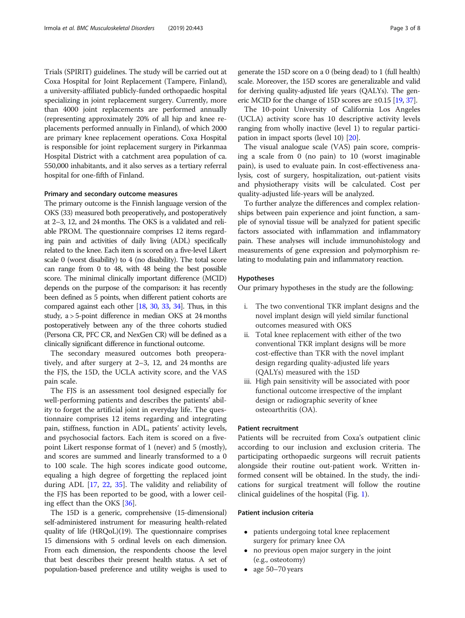Trials (SPIRIT) guidelines. The study will be carried out at Coxa Hospital for Joint Replacement (Tampere, Finland), a university-affiliated publicly-funded orthopaedic hospital specializing in joint replacement surgery. Currently, more than 4000 joint replacements are performed annually (representing approximately 20% of all hip and knee replacements performed annually in Finland), of which 2000 are primary knee replacement operations. Coxa Hospital is responsible for joint replacement surgery in Pirkanmaa Hospital District with a catchment area population of ca. 550,000 inhabitants, and it also serves as a tertiary referral hospital for one-fifth of Finland.

### Primary and secondary outcome measures

The primary outcome is the Finnish language version of the OKS (33) measured both preoperatively, and postoperatively at 2–3, 12, and 24 months. The OKS is a validated and reliable PROM. The questionnaire comprises 12 items regarding pain and activities of daily living (ADL) specifically related to the knee. Each item is scored on a five-level Likert scale 0 (worst disability) to 4 (no disability). The total score can range from 0 to 48, with 48 being the best possible score. The minimal clinically important difference (MCID) depends on the purpose of the comparison: it has recently been defined as 5 points, when different patient cohorts are compared against each other [\[18,](#page-7-0) [30,](#page-7-0) [33,](#page-7-0) [34](#page-7-0)]. Thus, in this study, a > 5-point difference in median OKS at 24 months postoperatively between any of the three cohorts studied (Persona CR, PFC CR, and NexGen CR) will be defined as a clinically significant difference in functional outcome.

The secondary measured outcomes both preoperatively, and after surgery at 2–3, 12, and 24 months are the FJS, the 15D, the UCLA activity score, and the VAS pain scale.

The FJS is an assessment tool designed especially for well-performing patients and describes the patients' ability to forget the artificial joint in everyday life. The questionnaire comprises 12 items regarding and integrating pain, stiffness, function in ADL, patients' activity levels, and psychosocial factors. Each item is scored on a fivepoint Likert response format of 1 (never) and 5 (mostly), and scores are summed and linearly transformed to a 0 to 100 scale. The high scores indicate good outcome, equaling a high degree of forgetting the replaced joint during ADL [[17,](#page-7-0) [22,](#page-7-0) [35](#page-7-0)]. The validity and reliability of the FJS has been reported to be good, with a lower ceiling effect than the OKS [[36\]](#page-7-0).

The 15D is a generic, comprehensive (15-dimensional) self-administered instrument for measuring health-related quality of life (HRQoL)(19). The questionnaire comprises 15 dimensions with 5 ordinal levels on each dimension. From each dimension, the respondents choose the level that best describes their present health status. A set of population-based preference and utility weighs is used to

The 10-point University of California Los Angeles (UCLA) activity score has 10 descriptive activity levels ranging from wholly inactive (level 1) to regular participation in impact sports (level 10) [[20](#page-7-0)].

The visual analogue scale (VAS) pain score, comprising a scale from 0 (no pain) to 10 (worst imaginable pain), is used to evaluate pain. In cost-effectiveness analysis, cost of surgery, hospitalization, out-patient visits and physiotherapy visits will be calculated. Cost per quality-adjusted life-years will be analyzed.

To further analyze the differences and complex relationships between pain experience and joint function, a sample of synovial tissue will be analyzed for patient specific factors associated with inflammation and inflammatory pain. These analyses will include immunohistology and measurements of gene expression and polymorphism relating to modulating pain and inflammatory reaction.

### Hypotheses

Our primary hypotheses in the study are the following:

- i. The two conventional TKR implant designs and the novel implant design will yield similar functional outcomes measured with OKS
- ii. Total knee replacement with either of the two conventional TKR implant designs will be more cost-effective than TKR with the novel implant design regarding quality-adjusted life years (QALYs) measured with the 15D
- iii. High pain sensitivity will be associated with poor functional outcome irrespective of the implant design or radiographic severity of knee osteoarthritis (OA).

### Patient recruitment

Patients will be recruited from Coxa's outpatient clinic according to our inclusion and exclusion criteria. The participating orthopaedic surgeons will recruit patients alongside their routine out-patient work. Written informed consent will be obtained. In the study, the indications for surgical treatment will follow the routine clinical guidelines of the hospital (Fig. [1\)](#page-3-0).

### Patient inclusion criteria

- patients undergoing total knee replacement surgery for primary knee OA
- no previous open major surgery in the joint (e.g., osteotomy)
- age 50–70 years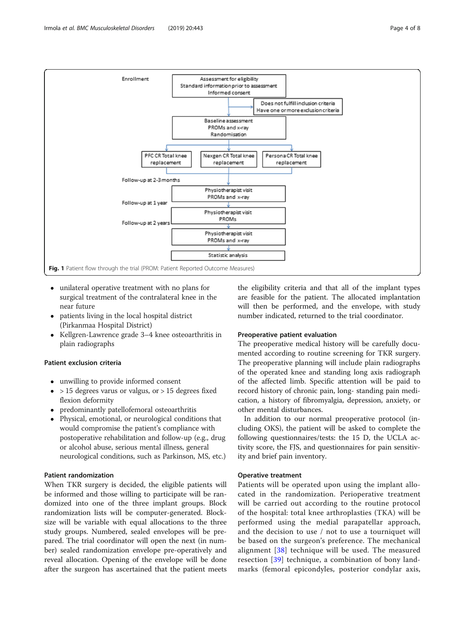<span id="page-3-0"></span>

- unilateral operative treatment with no plans for surgical treatment of the contralateral knee in the near future
- patients living in the local hospital district (Pirkanmaa Hospital District)
- Kellgren-Lawrence grade 3–4 knee osteoarthritis in plain radiographs

# Patient exclusion criteria

- unwilling to provide informed consent
- $\bullet$  > 15 degrees varus or valgus, or > 15 degrees fixed flexion deformity
- predominantly patellofemoral osteoarthritis
- Physical, emotional, or neurological conditions that would compromise the patient's compliance with postoperative rehabilitation and follow-up (e.g., drug or alcohol abuse, serious mental illness, general neurological conditions, such as Parkinson, MS, etc.)

### Patient randomization

When TKR surgery is decided, the eligible patients will be informed and those willing to participate will be randomized into one of the three implant groups. Block randomization lists will be computer-generated. Blocksize will be variable with equal allocations to the three study groups. Numbered, sealed envelopes will be prepared. The trial coordinator will open the next (in number) sealed randomization envelope pre-operatively and reveal allocation. Opening of the envelope will be done after the surgeon has ascertained that the patient meets

the eligibility criteria and that all of the implant types are feasible for the patient. The allocated implantation will then be performed, and the envelope, with study number indicated, returned to the trial coordinator.

# Preoperative patient evaluation

The preoperative medical history will be carefully documented according to routine screening for TKR surgery. The preoperative planning will include plain radiographs of the operated knee and standing long axis radiograph of the affected limb. Specific attention will be paid to record history of chronic pain, long- standing pain medication, a history of fibromyalgia, depression, anxiety, or other mental disturbances.

In addition to our normal preoperative protocol (including OKS), the patient will be asked to complete the following questionnaires/tests: the 15 D, the UCLA activity score, the FJS, and questionnaires for pain sensitivity and brief pain inventory.

### Operative treatment

Patients will be operated upon using the implant allocated in the randomization. Perioperative treatment will be carried out according to the routine protocol of the hospital: total knee arthroplasties (TKA) will be performed using the medial parapatellar approach, and the decision to use / not to use a tourniquet will be based on the surgeon's preference. The mechanical alignment [[38\]](#page-7-0) technique will be used. The measured resection [\[39](#page-7-0)] technique, a combination of bony landmarks (femoral epicondyles, posterior condylar axis,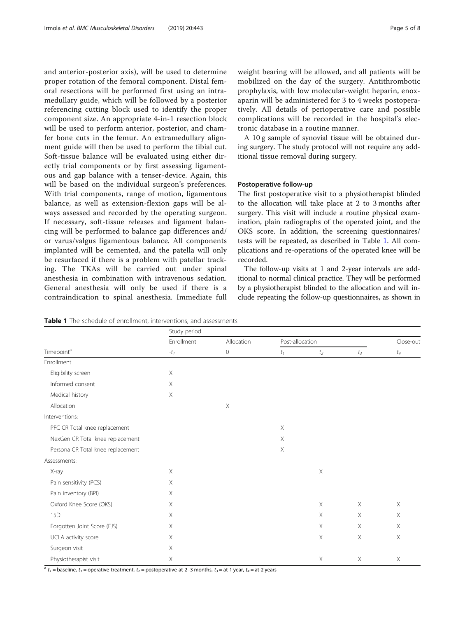<span id="page-4-0"></span>and anterior-posterior axis), will be used to determine proper rotation of the femoral component. Distal femoral resections will be performed first using an intramedullary guide, which will be followed by a posterior referencing cutting block used to identify the proper component size. An appropriate 4-in-1 resection block will be used to perform anterior, posterior, and chamfer bone cuts in the femur. An extramedullary alignment guide will then be used to perform the tibial cut. Soft-tissue balance will be evaluated using either directly trial components or by first assessing ligamentous and gap balance with a tenser-device. Again, this will be based on the individual surgeon's preferences. With trial components, range of motion, ligamentous balance, as well as extension-flexion gaps will be always assessed and recorded by the operating surgeon. If necessary, soft-tissue releases and ligament balancing will be performed to balance gap differences and/ or varus/valgus ligamentous balance. All components implanted will be cemented, and the patella will only be resurfaced if there is a problem with patellar tracking. The TKAs will be carried out under spinal anesthesia in combination with intravenous sedation. General anesthesia will only be used if there is a contraindication to spinal anesthesia. Immediate full weight bearing will be allowed, and all patients will be mobilized on the day of the surgery. Antithrombotic prophylaxis, with low molecular-weight heparin, enoxaparin will be administered for 3 to 4 weeks postoperatively. All details of perioperative care and possible complications will be recorded in the hospital's electronic database in a routine manner.

A 10 g sample of synovial tissue will be obtained during surgery. The study protocol will not require any additional tissue removal during surgery.

### Postoperative follow-up

The first postoperative visit to a physiotherapist blinded to the allocation will take place at 2 to 3 months after surgery. This visit will include a routine physical examination, plain radiographs of the operated joint, and the OKS score. In addition, the screening questionnaires/ tests will be repeated, as described in Table 1. All complications and re-operations of the operated knee will be recorded.

The follow-up visits at 1 and 2-year intervals are additional to normal clinical practice. They will be performed by a physiotherapist blinded to the allocation and will include repeating the follow-up questionnaires, as shown in

| Timepoint <sup>a</sup>            | Study period           |                       |                 |         |             |              |
|-----------------------------------|------------------------|-----------------------|-----------------|---------|-------------|--------------|
|                                   | Enrollment<br>$-t_{1}$ | Allocation<br>$\circ$ | Post-allocation |         |             | Close-out    |
|                                   |                        |                       | $t_1$           | $t_2\,$ | $t_3$       | $\sqrt{t_4}$ |
| Enrollment                        |                        |                       |                 |         |             |              |
| Eligibility screen                | $\times$               |                       |                 |         |             |              |
| Informed consent                  | $\times$               |                       |                 |         |             |              |
| Medical history                   | $\times$               |                       |                 |         |             |              |
| Allocation                        |                        | $\mathsf X$           |                 |         |             |              |
| Interventions:                    |                        |                       |                 |         |             |              |
| PFC CR Total knee replacement     |                        |                       | $\times$        |         |             |              |
| NexGen CR Total knee replacement  |                        |                       | $\times$        |         |             |              |
| Persona CR Total knee replacement |                        |                       | $\mathsf X$     |         |             |              |
| Assessments:                      |                        |                       |                 |         |             |              |
| X-ray                             | $\times$               |                       |                 | X       |             |              |
| Pain sensitivity (PCS)            | $\times$               |                       |                 |         |             |              |
| Pain inventory (BPI)              | $\times$               |                       |                 |         |             |              |
| Oxford Knee Score (OKS)           | $\times$               |                       |                 | X       | $\times$    | $\mathsf X$  |
| 15 <sub>D</sub>                   | $\times$               |                       |                 | X       | $\times$    | $\mathsf X$  |
| Forgotten Joint Score (FJS)       | $\times$               |                       |                 | X       | $\times$    | $\mathsf X$  |
| UCLA activity score               | $\times$               |                       |                 | X       | $\mathsf X$ | $\mathsf X$  |
| Surgeon visit                     | $\times$               |                       |                 |         |             |              |
| Physiotherapist visit             | Χ                      |                       |                 | X       | $\times$    | Χ            |

Table 1 The schedule of enrollment, interventions, and assessments

 $a-t_1$  = baseline,  $t_1$  = operative treatment,  $t_2$  = postoperative at 2–3 months,  $t_3$  = at 1 year,  $t_4$  = at 2 years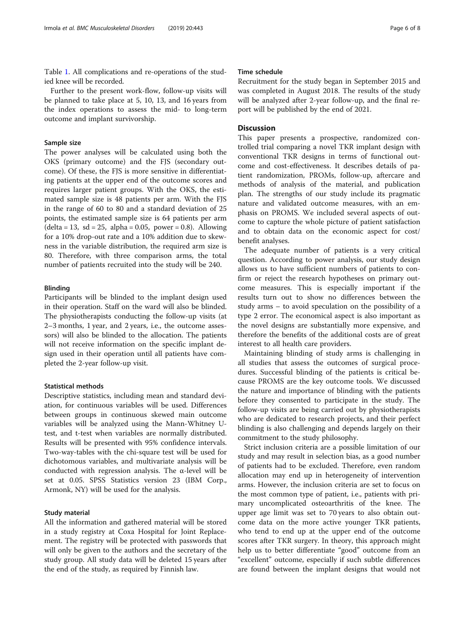Table [1.](#page-4-0) All complications and re-operations of the studied knee will be recorded.

Further to the present work-flow, follow-up visits will be planned to take place at 5, 10, 13, and 16 years from the index operations to assess the mid- to long-term outcome and implant survivorship.

# Sample size

The power analyses will be calculated using both the OKS (primary outcome) and the FJS (secondary outcome). Of these, the FJS is more sensitive in differentiating patients at the upper end of the outcome scores and requires larger patient groups. With the OKS, the estimated sample size is 48 patients per arm. With the FJS in the range of 60 to 80 and a standard deviation of 25 points, the estimated sample size is 64 patients per arm  $(delta = 13, sd = 25, alpha = 0.05, power = 0.8)$ . Allowing for a 10% drop-out rate and a 10% addition due to skewness in the variable distribution, the required arm size is 80. Therefore, with three comparison arms, the total number of patients recruited into the study will be 240.

# Blinding

Participants will be blinded to the implant design used in their operation. Staff on the ward will also be blinded. The physiotherapists conducting the follow-up visits (at 2–3 months, 1 year, and 2 years, i.e., the outcome assessors) will also be blinded to the allocation. The patients will not receive information on the specific implant design used in their operation until all patients have completed the 2-year follow-up visit.

### Statistical methods

Descriptive statistics, including mean and standard deviation, for continuous variables will be used. Differences between groups in continuous skewed main outcome variables will be analyzed using the Mann-Whitney Utest, and t-test when variables are normally distributed. Results will be presented with 95% confidence intervals. Two-way-tables with the chi-square test will be used for dichotomous variables, and multivariate analysis will be conducted with regression analysis. The α-level will be set at 0.05. SPSS Statistics version 23 (IBM Corp., Armonk, NY) will be used for the analysis.

### Study material

All the information and gathered material will be stored in a study registry at Coxa Hospital for Joint Replacement. The registry will be protected with passwords that will only be given to the authors and the secretary of the study group. All study data will be deleted 15 years after the end of the study, as required by Finnish law.

# Time schedule

Recruitment for the study began in September 2015 and was completed in August 2018. The results of the study will be analyzed after 2-year follow-up, and the final report will be published by the end of 2021.

# **Discussion**

This paper presents a prospective, randomized controlled trial comparing a novel TKR implant design with conventional TKR designs in terms of functional outcome and cost-effectiveness. It describes details of patient randomization, PROMs, follow-up, aftercare and methods of analysis of the material, and publication plan. The strengths of our study include its pragmatic nature and validated outcome measures, with an emphasis on PROMS. We included several aspects of outcome to capture the whole picture of patient satisfaction and to obtain data on the economic aspect for cost/ benefit analyses.

The adequate number of patients is a very critical question. According to power analysis, our study design allows us to have sufficient numbers of patients to confirm or reject the research hypotheses on primary outcome measures. This is especially important if the results turn out to show no differences between the study arms – to avoid speculation on the possibility of a type 2 error. The economical aspect is also important as the novel designs are substantially more expensive, and therefore the benefits of the additional costs are of great interest to all health care providers.

Maintaining blinding of study arms is challenging in all studies that assess the outcomes of surgical procedures. Successful blinding of the patients is critical because PROMS are the key outcome tools. We discussed the nature and importance of blinding with the patients before they consented to participate in the study. The follow-up visits are being carried out by physiotherapists who are dedicated to research projects, and their perfect blinding is also challenging and depends largely on their commitment to the study philosophy.

Strict inclusion criteria are a possible limitation of our study and may result in selection bias, as a good number of patients had to be excluded. Therefore, even random allocation may end up in heterogeneity of intervention arms. However, the inclusion criteria are set to focus on the most common type of patient, i.e., patients with primary uncomplicated osteoarthritis of the knee. The upper age limit was set to 70 years to also obtain outcome data on the more active younger TKR patients, who tend to end up at the upper end of the outcome scores after TKR surgery. In theory, this approach might help us to better differentiate "good" outcome from an "excellent" outcome, especially if such subtle differences are found between the implant designs that would not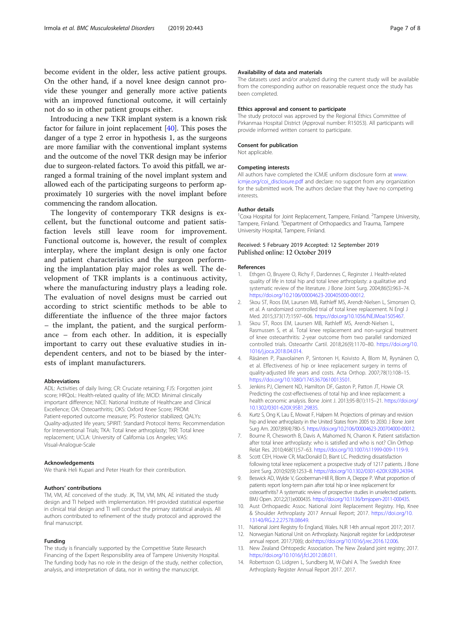<span id="page-6-0"></span>become evident in the older, less active patient groups. On the other hand, if a novel knee design cannot provide these younger and generally more active patients with an improved functional outcome, it will certainly not do so in other patient groups either.

Introducing a new TKR implant system is a known risk factor for failure in joint replacement [[40](#page-7-0)]. This poses the danger of a type 2 error in hypothesis 1, as the surgeons are more familiar with the conventional implant systems and the outcome of the novel TKR design may be inferior due to surgeon-related factors. To avoid this pitfall, we arranged a formal training of the novel implant system and allowed each of the participating surgeons to perform approximately 10 surgeries with the novel implant before commencing the random allocation.

The longevity of contemporary TKR designs is excellent, but the functional outcome and patient satisfaction levels still leave room for improvement. Functional outcome is, however, the result of complex interplay, where the implant design is only one factor and patient characteristics and the surgeon performing the implantation play major roles as well. The development of TKR implants is a continuous activity, where the manufacturing industry plays a leading role. The evaluation of novel designs must be carried out according to strict scientific methods to be able to differentiate the influence of the three major factors – the implant, the patient, and the surgical performance – from each other. In addition, it is especially important to carry out these evaluative studies in independent centers, and not to be biased by the interests of implant manufacturers.

#### Abbreviations

ADL: Activities of daily living; CR: Cruciate retaining; FJS: Forgotten joint score; HRQoL: Health-related quality of life; MCID: Minimal clinically important difference; NICE: National Institute of Healthcare and Clinical Excellence; OA: Osteoarthritis; OKS: Oxford Knee Score; PROM: Patient-reported outcome measure; PS: Posterior stabilized; QALYs: Quality-adjusted life years; SPIRIT: Standard Protocol Items: Recommendation for Interventional Trials; TKA: Total knee arthroplasty; TKR: Total knee replacement; UCLA: University of California Los Angeles; VAS: Visual-Analogue-Scale

#### Acknowledgements

We thank Heli Kupari and Peter Heath for their contribution.

### Authors' contributions

TM, VM, AE conceived of the study. JK, TM, VM, MN, AE initiated the study design and TI helped with implementation. HH provided statistical expertise in clinical trial design and TI will conduct the primary statistical analysis. All authors contributed to refinement of the study protocol and approved the final manuscript.

### Funding

The study is financially supported by the Competitive State Research Financing of the Expert Responsibility area of Tampere University Hospital. The funding body has no role in the design of the study, neither collection, analysis, and interpretation of data, nor in writing the manuscript.

#### Availability of data and materials

The datasets used and/or analyzed during the current study will be available from the corresponding author on reasonable request once the study has been completed.

#### Ethics approval and consent to participate

The study protocol was approved by the Regional Ethics Committee of Pirkanmaa Hospital District (Approval number: R15053). All participants will provide informed written consent to participate.

#### Consent for publication

Not applicable.

#### Competing interests

All authors have completed the ICMJE uniform disclosure form at [www.](http://www.icmje.org/coi_disclosure.pdf) [icmje.org/coi\\_disclosure.pdf](http://www.icmje.org/coi_disclosure.pdf) and declare: no support from any organization for the submitted work. The authors declare that they have no competing interests.

### Author details

<sup>1</sup> Coxa Hospital for Joint Replacement, Tampere, Finland. <sup>2</sup> Tampere University Tampere, Finland. <sup>3</sup>Department of Orthopaedics and Trauma, Tampere University Hospital, Tampere, Finland.

### Received: 5 February 2019 Accepted: 12 September 2019 Published online: 12 October 2019

#### References

- 1. Ethgen O, Bruyere O, Richy F, Dardennes C, Reginster J. Health-related quality of life in total hip and total knee arthroplasty: a qualitative and systematic review of the literature. J Bone Joint Surg. 2004;86(5):963–74. <https://doi.org/10.2106/00004623-200405000-00012>.
- 2. Skou ST, Roos EM, Laursen MB, Rathleff MS, Arendt-Nielsen L, Simonsen O, et al. A randomized controlled trial of total knee replacement. N Engl J Med. 2015;373(17):1597–606. <https://doi.org/10.1056/NEJMoa1505467>.
- Skou ST, Roos EM, Laursen MB, Rathleff MS, Arendt-Nielsen L, Rasmussen S, et al. Total knee replacement and non-surgical treatment of knee osteoarthritis: 2-year outcome from two parallel randomized controlled trials. Osteoarthr Cartil. 2018;26(9):1170–80. [https://doi.org/10.](https://doi.org/10.1016/j.joca.2018.04.014) [1016/j.joca.2018.04.014](https://doi.org/10.1016/j.joca.2018.04.014).
- 4. Räsänen P, Paavolainen P, Sintonen H, Koivisto A, Blom M, Ryynänen O, et al. Effectiveness of hip or knee replacement surgery in terms of quality-adjusted life years and costs. Acta Orthop. 2007;78(1):108–15. [https://doi.org/10.1080/17453670610013501.](https://doi.org/10.1080/17453670610013501)
- 5. Jenkins PJ, Clement ND, Hamilton DF, Gaston P, Patton JT, Howie CR. Predicting the cost-effectiveness of total hip and knee replacement: a health economic analysis. Bone Joint J. 2013;95-B(1):115–21. [https://doi.org/](https://doi.org/10.1302/0301-620X.95B1.29835) [10.1302/0301-620X.95B1.29835.](https://doi.org/10.1302/0301-620X.95B1.29835)
- 6. Kurtz S, Ong K, Lau E, Mowat F, Halpern M. Projections of primary and revision hip and knee arthroplasty in the United States from 2005 to 2030. J Bone Joint Surg Am. 2007;89(4):780–5. [https://doi.org/10.2106/00004623-200704000-00012.](https://doi.org/10.2106/00004623-200704000-00012)
- 7. Bourne R, Chesworth B, Davis A, Mahomed N, Charron K. Patient satisfaction after total knee arthroplasty: who is satisfied and who is not? Clin Orthop Relat Res. 2010;468(1):57–63. [https://doi.org/10.1007/s11999-009-1119-9.](https://doi.org/10.1007/s11999-009-1119-9)
- 8. Scott CEH, Howie CR, MacDonald D, Biant LC. Predicting dissatisfaction following total knee replacement: a prospective study of 1217 patients. J Bone Joint Surg. 2010;92(9):1253–8. [https://doi.org/10.1302/0301-620X.92B9.24394.](https://doi.org/10.1302/0301-620X.92B9.24394)
- 9. Beswick AD, Wylde V, Gooberman-Hill R, Blom A, Dieppe P. What proportion of patients report long-term pain after total hip or knee replacement for osteoarthritis? A systematic review of prospective studies in unselected patients. BMJ Open. 2012;2(1):e000435. [https://doi.org/10.1136/bmjopen-2011-000435.](https://doi.org/10.1136/bmjopen-2011-000435)
- 10. Aust Orthopaedic Assoc. National Joint Replacement Registry. Hip, Knee & Shoulder Arthroplasty 2017 Annual Report; 2017. [https://doi.org/10.](https://doi.org/10.13140/RG.2.2.27578.08649) [13140/RG.2.2.27578.08649](https://doi.org/10.13140/RG.2.2.27578.08649).
- 11. National Joint Registry fo England, Wales. NJR 14th annual report 2017; 2017.
- 12. Norwegian National Unit on Arthroplasty. Nasjonalt register for Leddproteser annual report. 2017;70(6); doi[:https://doi.org/10.1016/j.rec.2016.12.006](https://doi.org/10.1016/j.rec.2016.12.006).
- 13. New Zealand Orhtopedic Association. The New Zealand joint registry; 2017. <https://doi.org/10.1016/j.fcl.2012.08.011>.
- 14. Robertsson O, Lidgren L, Sundberg M, W-Dahl A. The Swedish Knee Arthroplasty Register Annual Report 2017. 2017.